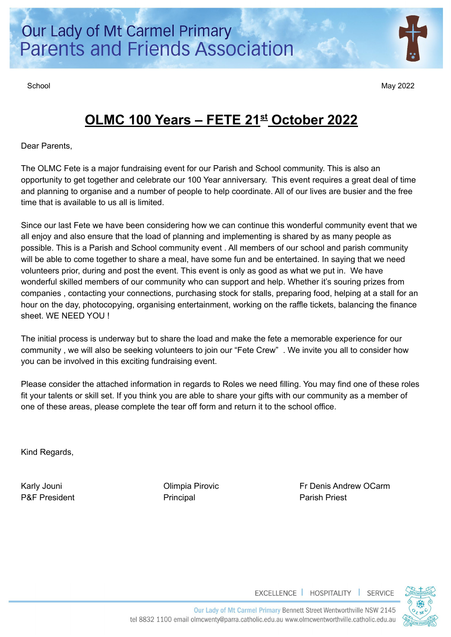School May 2022

# **OLMC 100 Years – FETE 21st October 2022**

Dear Parents,

The OLMC Fete is a major fundraising event for our Parish and School community. This is also an opportunity to get together and celebrate our 100 Year anniversary. This event requires a great deal of time and planning to organise and a number of people to help coordinate. All of our lives are busier and the free time that is available to us all is limited.

Since our last Fete we have been considering how we can continue this wonderful community event that we all enjoy and also ensure that the load of planning and implementing is shared by as many people as possible. This is a Parish and School community event . All members of our school and parish community will be able to come together to share a meal, have some fun and be entertained. In saying that we need volunteers prior, during and post the event. This event is only as good as what we put in. We have wonderful skilled members of our community who can support and help. Whether it's souring prizes from companies , contacting your connections, purchasing stock for stalls, preparing food, helping at a stall for an hour on the day, photocopying, organising entertainment, working on the raffle tickets, balancing the finance sheet. WE NEED YOU !

The initial process is underway but to share the load and make the fete a memorable experience for our community , we will also be seeking volunteers to join our "Fete Crew" . We invite you all to consider how you can be involved in this exciting fundraising event.

Please consider the attached information in regards to Roles we need filling. You may find one of these roles fit your talents or skill set. If you think you are able to share your gifts with our community as a member of one of these areas, please complete the tear off form and return it to the school office.

Kind Regards,

P&F President **Principal** Principal Principal Parish Priest

Karly Jouni **Example 20** Climpia Pirovic **Frideric Frideric Example 20 Carm** 



EXCELLENCE | HOSPITALITY | SERVICE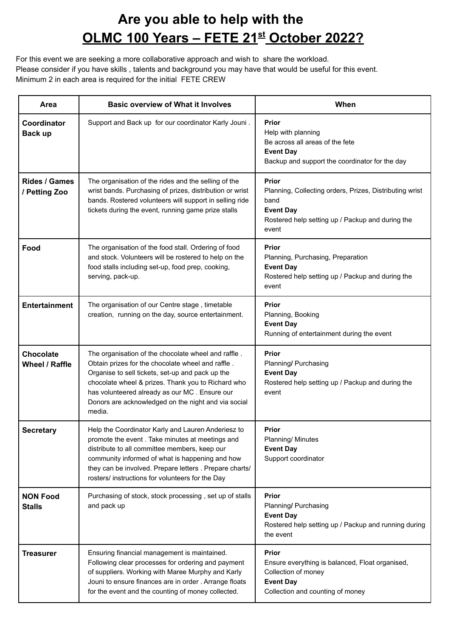### **Are you able to help with the OLMC 100 Years – FETE 21st October 2022?**

For this event we are seeking a more collaborative approach and wish to share the workload. Please consider if you have skills , talents and background you may have that would be useful for this event. Minimum 2 in each area is required for the initial FETE CREW

| Area                                  | <b>Basic overview of What it Involves</b>                                                                                                                                                                                                                                                                                            | When                                                                                                                                                             |
|---------------------------------------|--------------------------------------------------------------------------------------------------------------------------------------------------------------------------------------------------------------------------------------------------------------------------------------------------------------------------------------|------------------------------------------------------------------------------------------------------------------------------------------------------------------|
| Coordinator<br>Back up                | Support and Back up for our coordinator Karly Jouni.                                                                                                                                                                                                                                                                                 | Prior<br>Help with planning<br>Be across all areas of the fete<br><b>Event Day</b><br>Backup and support the coordinator for the day                             |
| <b>Rides / Games</b><br>/ Petting Zoo | The organisation of the rides and the selling of the<br>wrist bands. Purchasing of prizes, distribution or wrist<br>bands. Rostered volunteers will support in selling ride<br>tickets during the event, running game prize stalls                                                                                                   | <b>Prior</b><br>Planning, Collecting orders, Prizes, Distributing wrist<br>band<br><b>Event Day</b><br>Rostered help setting up / Packup and during the<br>event |
| Food                                  | The organisation of the food stall. Ordering of food<br>and stock. Volunteers will be rostered to help on the<br>food stalls including set-up, food prep, cooking,<br>serving, pack-up.                                                                                                                                              | Prior<br>Planning, Purchasing, Preparation<br><b>Event Day</b><br>Rostered help setting up / Packup and during the<br>event                                      |
| <b>Entertainment</b>                  | The organisation of our Centre stage, timetable<br>creation, running on the day, source entertainment.                                                                                                                                                                                                                               | Prior<br>Planning, Booking<br><b>Event Day</b><br>Running of entertainment during the event                                                                      |
| <b>Chocolate</b><br>Wheel / Raffle    | The organisation of the chocolate wheel and raffle.<br>Obtain prizes for the chocolate wheel and raffle.<br>Organise to sell tickets, set-up and pack up the<br>chocolate wheel & prizes. Thank you to Richard who<br>has volunteered already as our MC. Ensure our<br>Donors are acknowledged on the night and via social<br>media. | Prior<br>Planning/ Purchasing<br><b>Event Day</b><br>Rostered help setting up / Packup and during the<br>event                                                   |
| <b>Secretary</b>                      | Help the Coordinator Karly and Lauren Anderiesz to<br>promote the event. Take minutes at meetings and<br>distribute to all committee members, keep our<br>community informed of what is happening and how<br>they can be involved. Prepare letters . Prepare charts/<br>rosters/ instructions for volunteers for the Day             | Prior<br>Planning/ Minutes<br><b>Event Day</b><br>Support coordinator                                                                                            |
| <b>NON Food</b><br><b>Stalls</b>      | Purchasing of stock, stock processing, set up of stalls<br>and pack up                                                                                                                                                                                                                                                               | <b>Prior</b><br>Planning/ Purchasing<br><b>Event Day</b><br>Rostered help setting up / Packup and running during<br>the event                                    |
| <b>Treasurer</b>                      | Ensuring financial management is maintained.<br>Following clear processes for ordering and payment<br>of suppliers. Working with Maree Murphy and Karly<br>Jouni to ensure finances are in order. Arrange floats<br>for the event and the counting of money collected.                                                               | <b>Prior</b><br>Ensure everything is balanced, Float organised,<br>Collection of money<br><b>Event Day</b><br>Collection and counting of money                   |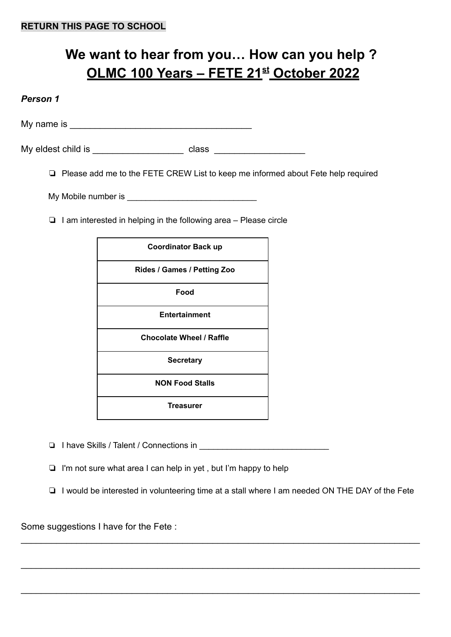## **We want to hear from you… How can you help ? OLMC 100 Years – FETE 21st October 2022**

#### *Person 1*

My name is  $\blacksquare$ 

My eldest child is example of the class class and the class of the class  $\sim$ 

❏ Please add me to the FETE CREW List to keep me informed about Fete help required

My Mobile number is **Example 20** 

❏ I am interested in helping in the following area – Please circle

| <b>Coordinator Back up</b>      |  |
|---------------------------------|--|
| Rides / Games / Petting Zoo     |  |
| Food                            |  |
| <b>Entertainment</b>            |  |
| <b>Chocolate Wheel / Raffle</b> |  |
| <b>Secretary</b>                |  |
| <b>NON Food Stalls</b>          |  |
| Treasurer                       |  |

❏ I have Skills / Talent / Connections in \_\_\_\_\_\_\_\_\_\_\_\_\_\_\_\_\_\_\_\_\_\_\_\_\_\_\_\_

❏ I'm not sure what area I can help in yet , but I'm happy to help

❏ I would be interested in volunteering time at a stall where I am needed ON THE DAY of the Fete

\_\_\_\_\_\_\_\_\_\_\_\_\_\_\_\_\_\_\_\_\_\_\_\_\_\_\_\_\_\_\_\_\_\_\_\_\_\_\_\_\_\_\_\_\_\_\_\_\_\_\_\_\_\_\_\_\_\_\_\_\_\_\_\_\_\_\_\_\_\_\_\_\_\_\_\_\_\_\_

\_\_\_\_\_\_\_\_\_\_\_\_\_\_\_\_\_\_\_\_\_\_\_\_\_\_\_\_\_\_\_\_\_\_\_\_\_\_\_\_\_\_\_\_\_\_\_\_\_\_\_\_\_\_\_\_\_\_\_\_\_\_\_\_\_\_\_\_\_\_\_\_\_\_\_\_\_\_\_

 $\_$ 

Some suggestions I have for the Fete :